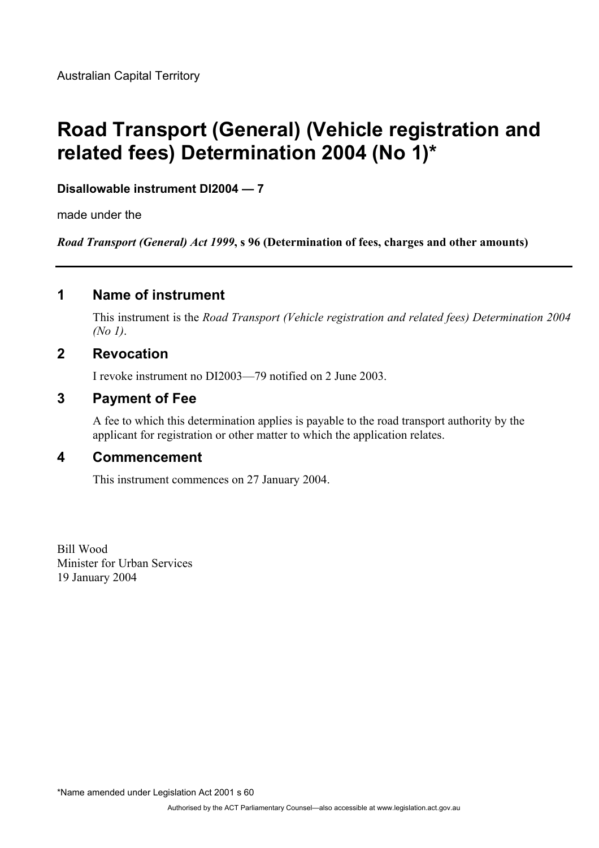# **Road Transport (General) (Vehicle registration and related fees) Determination 2004 (No 1)\***

#### **Disallowable instrument DI2004 — 7**

made under the

*Road Transport (General) Act 1999***, s 96 (Determination of fees, charges and other amounts)** 

# **1 Name of instrument**

This instrument is the *Road Transport (Vehicle registration and related fees) Determination 2004 (No 1)*.

# **2 Revocation**

I revoke instrument no DI2003—79 notified on 2 June 2003.

# **3 Payment of Fee**

A fee to which this determination applies is payable to the road transport authority by the applicant for registration or other matter to which the application relates.

### **4 Commencement**

This instrument commences on 27 January 2004.

Bill Wood Minister for Urban Services 19 January 2004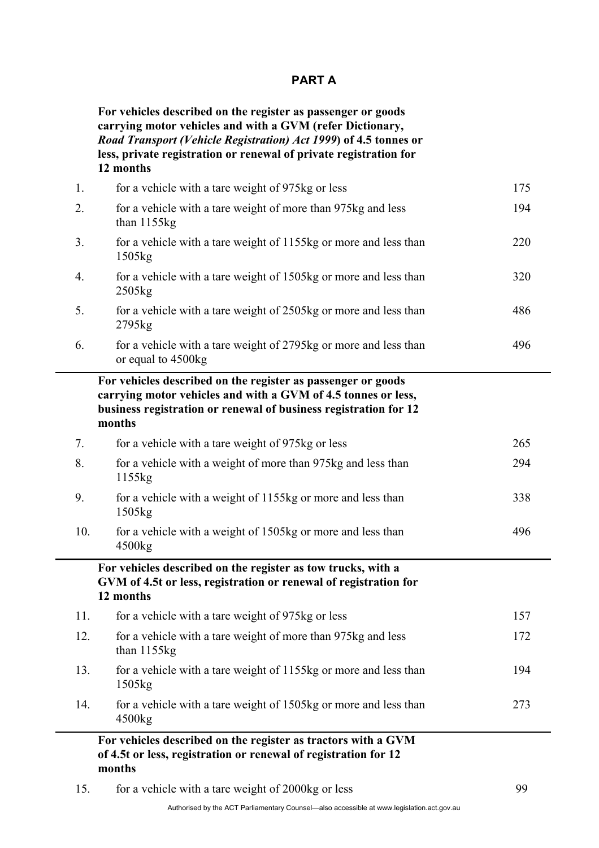#### **PART A**

**For vehicles described on the register as passenger or goods carrying motor vehicles and with a GVM (refer Dictionary,**  *Road Transport (Vehicle Registration) Act 1999***) of 4.5 tonnes or less, private registration or renewal of private registration for 12 months** 

| 1.  | for a vehicle with a tare weight of 975kg or less                                                                                                                                                           | 175 |
|-----|-------------------------------------------------------------------------------------------------------------------------------------------------------------------------------------------------------------|-----|
| 2.  | for a vehicle with a tare weight of more than 975kg and less<br>than $1155kg$                                                                                                                               | 194 |
| 3.  | for a vehicle with a tare weight of 1155kg or more and less than<br>1505 <sub>kg</sub>                                                                                                                      | 220 |
| 4.  | for a vehicle with a tare weight of 1505kg or more and less than<br>2505kg                                                                                                                                  | 320 |
| 5.  | for a vehicle with a tare weight of 2505kg or more and less than<br>2795kg                                                                                                                                  | 486 |
| 6.  | for a vehicle with a tare weight of 2795kg or more and less than<br>or equal to 4500kg                                                                                                                      | 496 |
|     | For vehicles described on the register as passenger or goods<br>carrying motor vehicles and with a GVM of 4.5 tonnes or less,<br>business registration or renewal of business registration for 12<br>months |     |
| 7.  | for a vehicle with a tare weight of 975kg or less                                                                                                                                                           | 265 |
| 8.  | for a vehicle with a weight of more than 975kg and less than<br>1155kg                                                                                                                                      | 294 |
| 9.  | for a vehicle with a weight of 1155kg or more and less than<br>1505 <sub>kg</sub>                                                                                                                           | 338 |
| 10. | for a vehicle with a weight of 1505kg or more and less than<br>4500kg                                                                                                                                       | 496 |
|     | For vehicles described on the register as tow trucks, with a<br>GVM of 4.5t or less, registration or renewal of registration for<br>12 months                                                               |     |
| 11. | for a vehicle with a tare weight of 975kg or less                                                                                                                                                           | 157 |
| 12. | for a vehicle with a tare weight of more than 975kg and less<br>than 1155kg                                                                                                                                 | 172 |
| 13. | for a vehicle with a tare weight of 1155kg or more and less than<br>1505kg                                                                                                                                  | 194 |
| 14. | for a vehicle with a tare weight of 1505kg or more and less than<br>4500 <sub>kg</sub>                                                                                                                      | 273 |
|     | For vehicles described on the register as tractors with a GVM<br>of 4.5t or less, registration or renewal of registration for 12<br>months                                                                  |     |

15. for a vehicle with a tare weight of 2000kg or less 99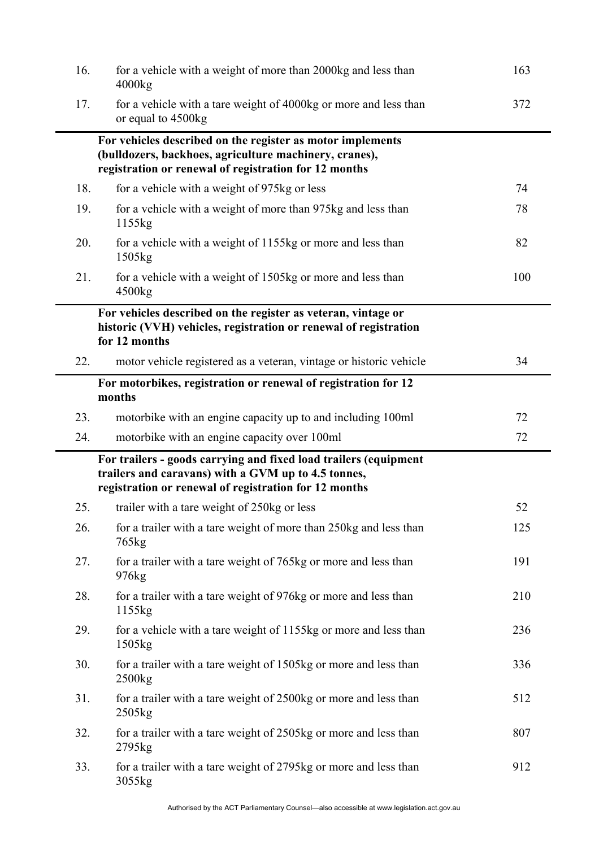| 16. | for a vehicle with a weight of more than 2000kg and less than<br>4000kg                                                                                                          | 163 |
|-----|----------------------------------------------------------------------------------------------------------------------------------------------------------------------------------|-----|
| 17. | for a vehicle with a tare weight of 4000kg or more and less than<br>or equal to 4500kg                                                                                           | 372 |
|     | For vehicles described on the register as motor implements<br>(bulldozers, backhoes, agriculture machinery, cranes),<br>registration or renewal of registration for 12 months    |     |
| 18. | for a vehicle with a weight of 975kg or less                                                                                                                                     | 74  |
| 19. | for a vehicle with a weight of more than 975kg and less than<br>1155kg                                                                                                           | 78  |
| 20. | for a vehicle with a weight of 1155kg or more and less than<br>1505kg                                                                                                            | 82  |
| 21. | for a vehicle with a weight of 1505kg or more and less than<br>4500kg                                                                                                            | 100 |
|     | For vehicles described on the register as veteran, vintage or<br>historic (VVH) vehicles, registration or renewal of registration<br>for 12 months                               |     |
| 22. | motor vehicle registered as a veteran, vintage or historic vehicle                                                                                                               | 34  |
|     | For motorbikes, registration or renewal of registration for 12<br>months                                                                                                         |     |
| 23. | motorbike with an engine capacity up to and including 100ml                                                                                                                      | 72  |
| 24. | motorbike with an engine capacity over 100ml                                                                                                                                     | 72  |
|     | For trailers - goods carrying and fixed load trailers (equipment<br>trailers and caravans) with a GVM up to 4.5 tonnes,<br>registration or renewal of registration for 12 months |     |
| 25. | trailer with a tare weight of 250kg or less                                                                                                                                      | 52  |
| 26. | for a trailer with a tare weight of more than 250kg and less than<br>765 <sub>kg</sub>                                                                                           | 125 |
| 27. | for a trailer with a tare weight of 765kg or more and less than<br>976 <sub>kg</sub>                                                                                             | 191 |
| 28. | for a trailer with a tare weight of 976kg or more and less than<br>1155kg                                                                                                        | 210 |
| 29. | for a vehicle with a tare weight of 1155kg or more and less than<br>1505 <sub>kg</sub>                                                                                           | 236 |
| 30. | for a trailer with a tare weight of 1505kg or more and less than<br>2500kg                                                                                                       | 336 |
| 31. | for a trailer with a tare weight of 2500kg or more and less than<br>2505 <sub>kg</sub>                                                                                           | 512 |
| 32. | for a trailer with a tare weight of 2505kg or more and less than<br>2795kg                                                                                                       | 807 |
| 33. | for a trailer with a tare weight of 2795kg or more and less than<br>3055kg                                                                                                       | 912 |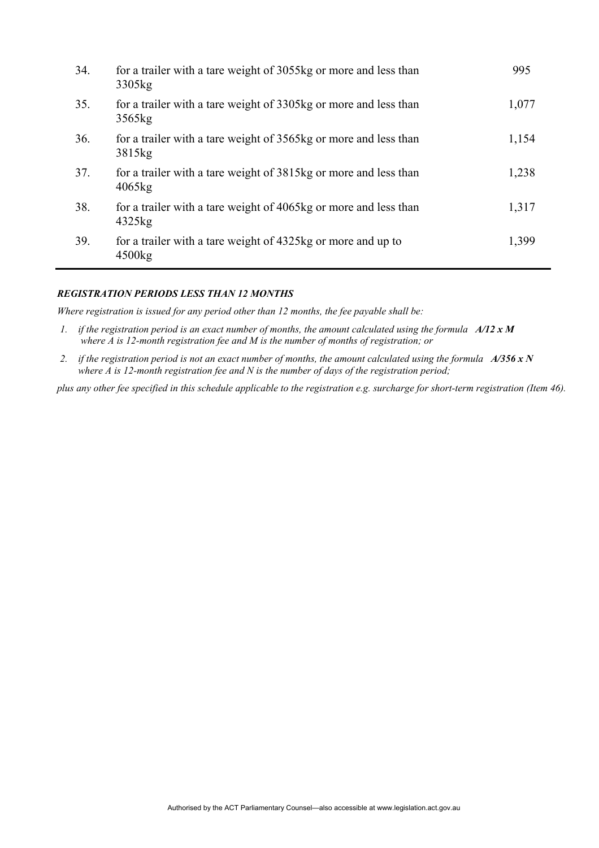| 34. | for a trailer with a tare weight of 3055kg or more and less than<br>3305 <sub>kg</sub> | 995   |
|-----|----------------------------------------------------------------------------------------|-------|
| 35. | for a trailer with a tare weight of 3305kg or more and less than<br>3565kg             | 1,077 |
| 36. | for a trailer with a tare weight of 3565kg or more and less than<br>3815 <sub>kg</sub> | 1,154 |
| 37. | for a trailer with a tare weight of 3815kg or more and less than<br>4065kg             | 1,238 |
| 38. | for a trailer with a tare weight of 4065kg or more and less than<br>4325kg             | 1,317 |
| 39. | for a trailer with a tare weight of 4325kg or more and up to<br>4500 <sub>kg</sub>     | 1,399 |

#### *REGISTRATION PERIODS LESS THAN 12 MONTHS*

*Where registration is issued for any period other than 12 months, the fee payable shall be:* 

- *1. if the registration period is an exact number of months, the amount calculated using the formula A/12 x M where A is 12-month registration fee and M is the number of months of registration; or*
- *2. if the registration period is not an exact number of months, the amount calculated using the formula A/356 x N where A is 12-month registration fee and N is the number of days of the registration period;*

*plus any other fee specified in this schedule applicable to the registration e.g. surcharge for short-term registration (Item 46).*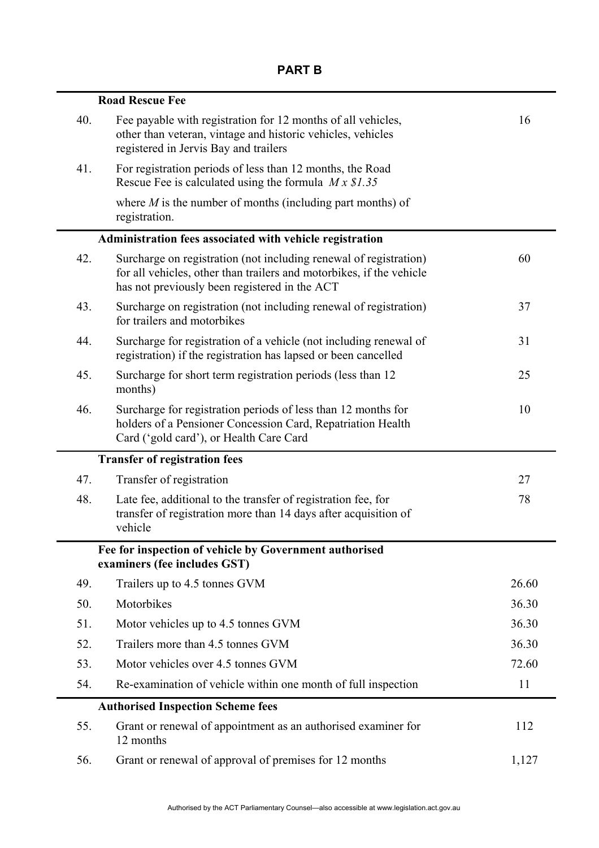|     | <b>Road Rescue Fee</b>                                                                                                                                                                     |       |
|-----|--------------------------------------------------------------------------------------------------------------------------------------------------------------------------------------------|-------|
| 40. | Fee payable with registration for 12 months of all vehicles,<br>other than veteran, vintage and historic vehicles, vehicles<br>registered in Jervis Bay and trailers                       | 16    |
| 41. | For registration periods of less than 12 months, the Road<br>Rescue Fee is calculated using the formula $M \times S1.35$                                                                   |       |
|     | where $M$ is the number of months (including part months) of<br>registration.                                                                                                              |       |
|     | Administration fees associated with vehicle registration                                                                                                                                   |       |
| 42. | Surcharge on registration (not including renewal of registration)<br>for all vehicles, other than trailers and motorbikes, if the vehicle<br>has not previously been registered in the ACT | 60    |
| 43. | Surcharge on registration (not including renewal of registration)<br>for trailers and motorbikes                                                                                           | 37    |
| 44. | Surcharge for registration of a vehicle (not including renewal of<br>registration) if the registration has lapsed or been cancelled                                                        | 31    |
| 45. | Surcharge for short term registration periods (less than 12)<br>months)                                                                                                                    | 25    |
| 46. | Surcharge for registration periods of less than 12 months for<br>holders of a Pensioner Concession Card, Repatriation Health<br>Card ('gold card'), or Health Care Card                    | 10    |
|     | <b>Transfer of registration fees</b>                                                                                                                                                       |       |
| 47. | Transfer of registration                                                                                                                                                                   | 27    |
| 48. | Late fee, additional to the transfer of registration fee, for<br>transfer of registration more than 14 days after acquisition of<br>vehicle                                                | 78    |
|     | Fee for inspection of vehicle by Government authorised<br>examiners (fee includes GST)                                                                                                     |       |
| 49. | Trailers up to 4.5 tonnes GVM                                                                                                                                                              | 26.60 |
| 50. | Motorbikes                                                                                                                                                                                 | 36.30 |
| 51. | Motor vehicles up to 4.5 tonnes GVM                                                                                                                                                        | 36.30 |
| 52. | Trailers more than 4.5 tonnes GVM                                                                                                                                                          | 36.30 |
| 53. | Motor vehicles over 4.5 tonnes GVM                                                                                                                                                         | 72.60 |
| 54. | Re-examination of vehicle within one month of full inspection                                                                                                                              | 11    |
|     | <b>Authorised Inspection Scheme fees</b>                                                                                                                                                   |       |
| 55. | Grant or renewal of appointment as an authorised examiner for<br>12 months                                                                                                                 | 112   |
| 56. | Grant or renewal of approval of premises for 12 months                                                                                                                                     | 1,127 |